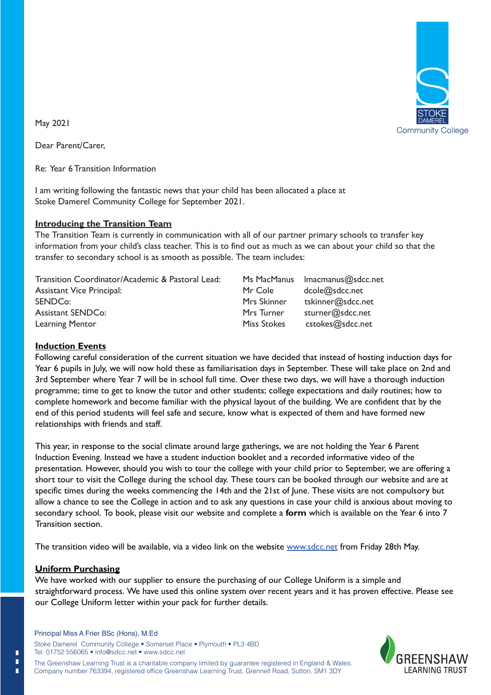

May 2021

Dear Parent/Carer,

Re: Year 6 Transition Information

I am writing following the fantastic news that your child has been allocated a place at Stoke Damerel Community College for September 2021.

### **Introducing the Transition Team**

The Transition Team is currently in communication with all of our partner primary schools to transfer key information from your child's class teacher. This is to find out as much as we can about your child so that the transfer to secondary school is as smooth as possible. The team includes:

| Transition Coordinator/Academic & Pastoral Lead:                                                                   | Ms MacManus | Imacmanus@sdcc.net |  |
|--------------------------------------------------------------------------------------------------------------------|-------------|--------------------|--|
| <b>Assistant Vice Principal:</b>                                                                                   | Mr Cole     | dcole@sdcc.net     |  |
| SENDCo:                                                                                                            | Mrs Skinner | tskinner@sdcc.net  |  |
| Assistant SENDCo:                                                                                                  | Mrs Turner  | sturner@sdcc.net   |  |
| Learning Mentor                                                                                                    | Miss Stokes | cstokes@sdcc.net   |  |
| <b>Induction Events</b>                                                                                            |             |                    |  |
| Following careful consideration of the current situation we have decided that instead of hosting induction days fo |             |                    |  |

### **Induction Events**

Following careful consideration of the current situation we have decided that instead of hosting induction days for Year 6 pupils in July, we will now hold these as familiarisation days in September. These will take place on 2nd and take3rd September where Year 7 will be in school full time. Over these two days, we will have a thorough induction programme; time to get to know the tutor and other students; college expectations and daily routines; how to complete homework and become familiar with the physical layout of the building. We are confident that by the end of this period students will feel safe and secure, know what is expected of them and have formed new relationships with friends and staff. programme; time to get to know the tutor and other students; college expectations and daily routines; how complete homework and become familiar with the physical layout of the building. We are confident that by end of this

This year, in response to the social climate around large gatherings, we are not holding the Year 6 Parent Induction Evening. Instead we have a student induction booklet and a recorded informative video of the presentation. However, should you wish to tour the college with your child prior to September, we are offering a short tour to visit the College during the school day. These tours can be booked through our website and are at specific times during the weeks commencing the 14th and the 21st of June. These visits are not compulsory but allow a chance to see the College in action and to ask any questions in case your child is anxious about moving to secondary school. To book, please visit our website and complete a **form** which is available on the Year 6 into 7 Transition section. Re: Year's Fransition Information<br>
Havariting following the fransation east star your child has been allocated a place at<br>
Stoke Damerel Community College for September 2021.<br>
Introducting the Transition Team<br>
Information

The transition video will be available, via a video link on the website www.sdcc.net from Friday 28th May.

## **Uniform Purchasing**

 $\blacksquare$ п  $\blacksquare$ 

We have worked with our supplier to ensure the purchasing of our College Uniform is a simple and straightforward process. We have used this online system over recent years and it has proven effective. Please see our College Uniform letter within your pack for further details.

Stoke Damerel Community College • Somerset Place • Plymouth • PL3 4BD Tel: 01752 556065 • info@sdcc.net • www.sdcc.net



The Greenshaw Learning Trust is a charitable company limited by guarantee registered in England & Wales. Company number 763394, registered office Greenshaw Learning Trust, Grennell Road, Sutton, SM1 3DY